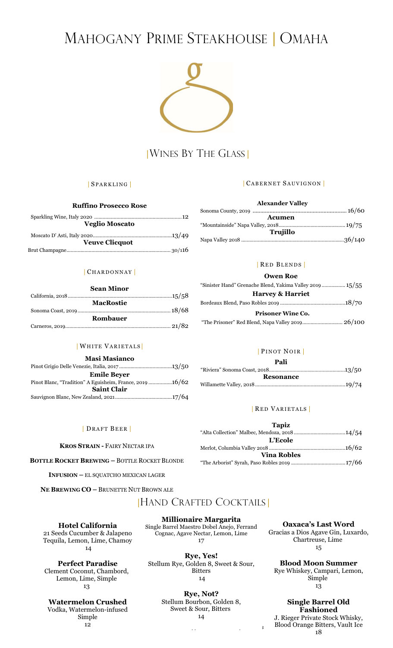# MAHOGANY PRIME STEAKHOUSE | OMAHA



### |WINES BY THE GLASS |

### | S P A R K L I N G |

#### Ruffino Prosecco Rose

| <b>Veglio Moscato</b> |  |
|-----------------------|--|
|                       |  |
| <b>Veuve Clicquot</b> |  |
|                       |  |

### | CHARDONNAY |

|          | <b>Sean Minor</b> |
|----------|-------------------|
|          |                   |
|          | <b>MacRostie</b>  |
|          |                   |
| Rombauer |                   |
|          |                   |

#### | WHITE VARIETALS|

| <b>Masi Masianco</b>                                     |  |
|----------------------------------------------------------|--|
|                                                          |  |
| <b>Emile Beyer</b>                                       |  |
| Pinot Blanc, "Tradition" A Eguisheim, France, 2019 16/62 |  |
| <b>Saint Clair</b>                                       |  |
|                                                          |  |

### | CABERNET SAUVIGNON |

| <b>Alexander Valley</b> |  |
|-------------------------|--|
|                         |  |
| Acumen                  |  |
|                         |  |
| <b>Trujillo</b>         |  |
|                         |  |

### | RED BLENDS |

#### Owen Roe

| "Sinister Hand" Grenache Blend, Yakima Valley 2019 15/55 |  |
|----------------------------------------------------------|--|
| <b>Harvey &amp; Harriet</b>                              |  |
|                                                          |  |
| <b>Prisoner Wine Co.</b>                                 |  |
|                                                          |  |

### | PINOT NOIR | Pali

| тан              |  |
|------------------|--|
|                  |  |
| <b>Resonance</b> |  |
|                  |  |

### | RED VARIETALS |

| Tapiz              |  |
|--------------------|--|
|                    |  |
| L'Ecole            |  |
|                    |  |
| <b>Vina Robles</b> |  |
|                    |  |

## | DRAFT BEER |

### KROS STRAIN - FAIRY NECTAR IPA

BOTTLE ROCKET BREWING – BOTTLE ROCKET BLONDE

INFUSION – EL SQUATCHO MEXICAN LAGER

NE BREWING CO – BRUNETTE NUT BROWN ALE

### |HAND CRAFTED COCKTAILS |

| <b>Hotel California</b>      |
|------------------------------|
| 21 Seeds Cucumber & Jalapeno |

Tequila, Lemon, Lime, Chamoy 14

Perfect Paradise Clement Coconut, Chambord, Lemon, Lime, Simple 13

Watermelon Crushed Vodka, Watermelon-infused Simple 12

Millionaire Margarita Single Barrel Maestro Dobel Anejo, Ferrand

Cognac, Agave Nectar, Lemon, Lime 17

Rye, Yes! Stellum Rye, Golden 8, Sweet & Sour, Bitters 14

> Rye, Not? Stellum Bourbon, Golden 8, Sweet & Sour, Bitters 14

Prices Not Inclusive of All Applicable Sales or Liquor Taxes

Oaxaca's Last Word Gracias a Dios Agave Gin, Luxardo, Chartreuse, Lime 15

Blood Moon Summer Rye Whiskey, Campari, Lemon, Simple 13

Single Barrel Old Fashioned J. Rieger Private Stock Whisky, Blood Orange Bitters, Vault Ice 18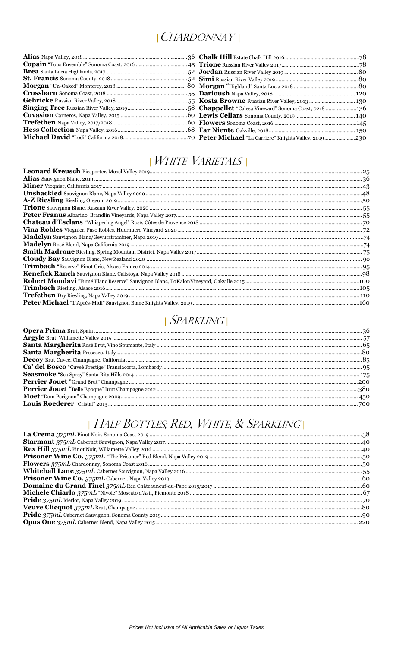## $|$ CHARDONNAY

## | WHITE VARIETALS |

## $|$  SPARKLING

# | HALF BOTTLES; RED, WHITE, & SPARKLING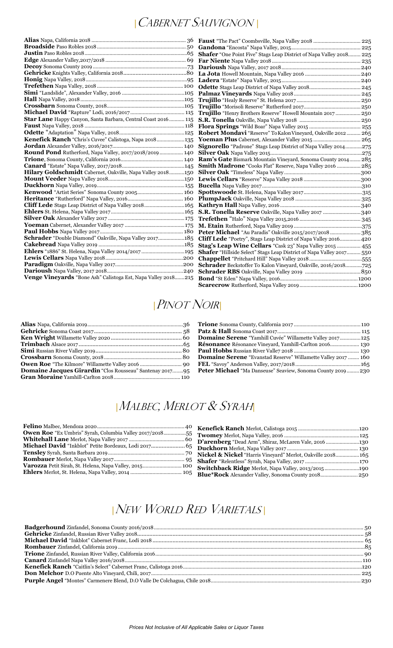## |CABERNET SAUVIGNON |

| Schrader "Double Diamond" Oakville, Napa Valley 2017185 Cliff Lede "Poetry", Stags Leap District of Napa Valley 2016 420  |  |
|---------------------------------------------------------------------------------------------------------------------------|--|
|                                                                                                                           |  |
| Ehlers "1886" St. Helena, Napa Valley 2014/2017 195 Shafer "Hillside Select" Stags Leap District of Napa Valley 2017  550 |  |
|                                                                                                                           |  |
|                                                                                                                           |  |
|                                                                                                                           |  |
|                                                                                                                           |  |
|                                                                                                                           |  |

### |PINOT NOIR|

| <b>Domaine Serene</b> "Yamhill Cuvée" Willamette Valley 2017125      |  |
|----------------------------------------------------------------------|--|
| <b>Résonance</b> Résonance Vineyard, Yamhill-Carlton 2016 130        |  |
|                                                                      |  |
| <b>Domaine Serene</b> "Evanstad Reserve" Willamette Valley 2017  160 |  |
|                                                                      |  |
| <b>Peter Michael</b> "Ma Danseuse" Seaview, Sonoma County 2019 230   |  |

## |MALBEC, MERLOT & SYRAH|

| Owen Roe "Ex Umbris" Syrah, Columbia Valley 2017/201855 |  |
|---------------------------------------------------------|--|
|                                                         |  |
| Michael David "Inkblot" Petite Bordeaux, Lodi 2017 65   |  |
|                                                         |  |
|                                                         |  |
| Varozza Petit Sirah, St. Helena, Napa Valley, 2015 100  |  |
|                                                         |  |

| <b>D'arenberg</b> "Dead Arm", Shiraz, McLaren Vale, 2016 130 |  |
|--------------------------------------------------------------|--|
|                                                              |  |
| Nickel & Nickel "Harris Vineyard" Merlot, Oakville 2018 165  |  |
|                                                              |  |
| <b>Switchback Ridge</b> Merlot, Napa Valley, 2013/2015190    |  |
|                                                              |  |

## |NEW WORLD RED VARIETALS |